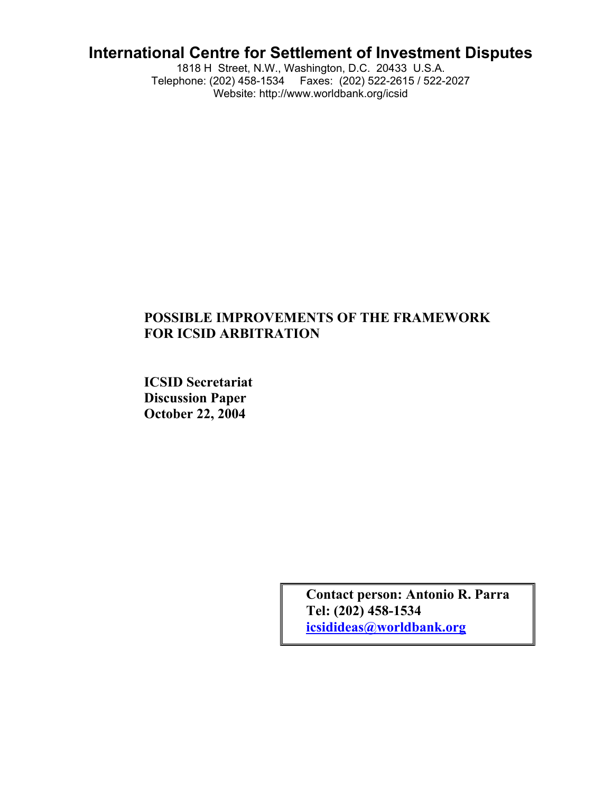# **International Centre for Settlement of Investment Disputes**

1818 H Street, N.W., Washington, D.C. 20433 U.S.A. Telephone: (202) 458-1534 Faxes: (202) 522-2615 / 522-2027 Website: http://www.worldbank.org/icsid

## **POSSIBLE IMPROVEMENTS OF THE FRAMEWORK FOR ICSID ARBITRATION**

**ICSID Secretariat Discussion Paper October 22, 2004**

> **Contact person: Antonio R. Parra Tel: (202) 458-1534 icsidideas@worldbank.org**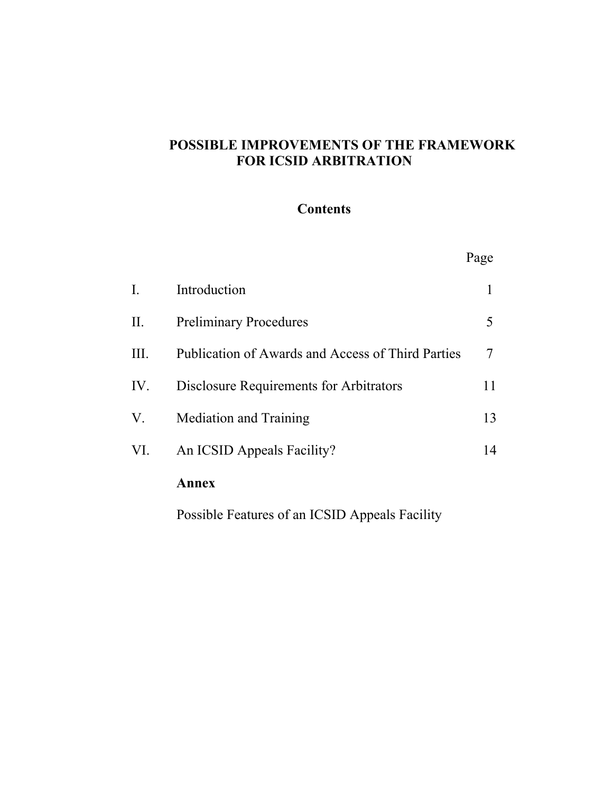## **POSSIBLE IMPROVEMENTS OF THE FRAMEWORK FOR ICSID ARBITRATION**

## **Contents**

|                |                                                   | Page |
|----------------|---------------------------------------------------|------|
| $\mathbf{I}$ . | Introduction                                      | 1    |
| II.            | <b>Preliminary Procedures</b>                     | 5    |
| III.           | Publication of Awards and Access of Third Parties | 7    |
| IV.            | Disclosure Requirements for Arbitrators           | 11   |
| V.             | <b>Mediation and Training</b>                     | 13   |
| VI.            | An ICSID Appeals Facility?                        | 14   |
|                | Annex                                             |      |

Possible Features of an ICSID Appeals Facility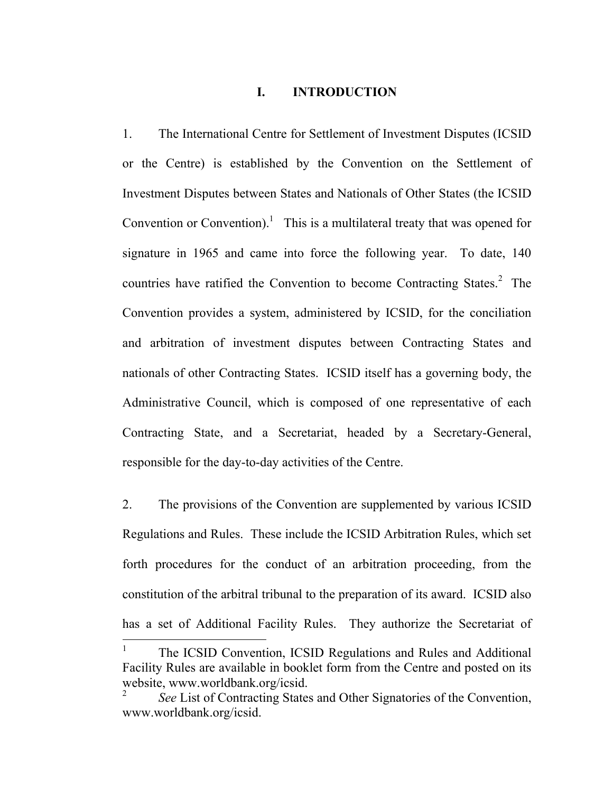#### **I. INTRODUCTION**

1. The International Centre for Settlement of Investment Disputes (ICSID or the Centre) is established by the Convention on the Settlement of Investment Disputes between States and Nationals of Other States (the ICSID Convention or Convention).<sup>1</sup> This is a multilateral treaty that was opened for signature in 1965 and came into force the following year. To date, 140 countries have ratified the Convention to become Contracting States.<sup>[2](#page-2-1)</sup> The Convention provides a system, administered by ICSID, for the conciliation and arbitration of investment disputes between Contracting States and nationals of other Contracting States. ICSID itself has a governing body, the Administrative Council, which is composed of one representative of each Contracting State, and a Secretariat, headed by a Secretary-General, responsible for the day-to-day activities of the Centre.

2. The provisions of the Convention are supplemented by various ICSID Regulations and Rules. These include the ICSID Arbitration Rules, which set forth procedures for the conduct of an arbitration proceeding, from the constitution of the arbitral tribunal to the preparation of its award. ICSID also has a set of Additional Facility Rules. They authorize the Secretariat of

<span id="page-2-0"></span><sup>1</sup> The ICSID Convention, ICSID Regulations and Rules and Additional Facility Rules are available in booklet form from the Centre and posted on its website, www.worldbank.org/icsid.

<span id="page-2-1"></span><sup>2</sup> *See* List of Contracting States and Other Signatories of the Convention, www.worldbank.org/icsid.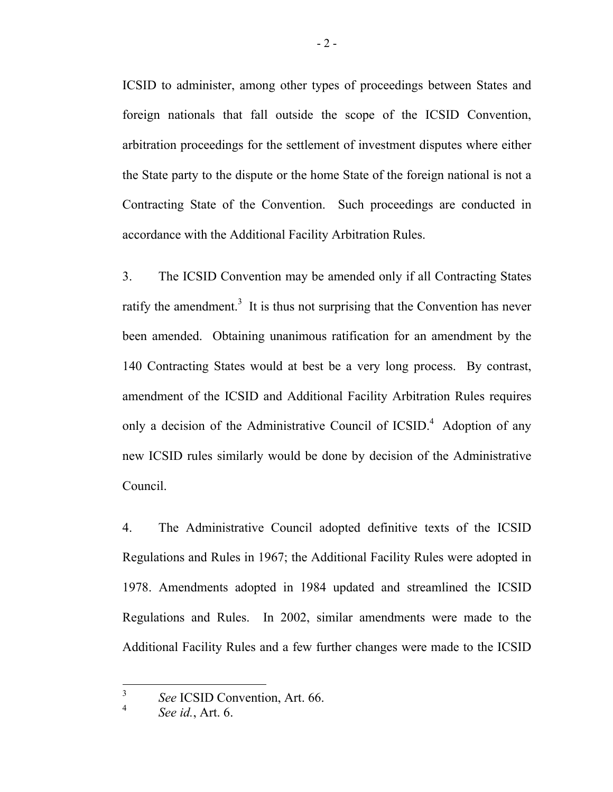ICSID to administer, among other types of proceedings between States and foreign nationals that fall outside the scope of the ICSID Convention, arbitration proceedings for the settlement of investment disputes where either the State party to the dispute or the home State of the foreign national is not a Contracting State of the Convention. Such proceedings are conducted in accordance with the Additional Facility Arbitration Rules.

3. The ICSID Convention may be amended only if all Contracting States ratify the amendment.<sup>3</sup> It is thus not surprising that the Convention has never been amended. Obtaining unanimous ratification for an amendment by the 140 Contracting States would at best be a very long process. By contrast, amendment of the ICSID and Additional Facility Arbitration Rules requires only a decision of the Administrative Council of ICSID.<sup>4</sup> Adoption of any new ICSID rules similarly would be done by decision of the Administrative Council.

4. The Administrative Council adopted definitive texts of the ICSID Regulations and Rules in 1967; the Additional Facility Rules were adopted in 1978. Amendments adopted in 1984 updated and streamlined the ICSID Regulations and Rules. In 2002, similar amendments were made to the Additional Facility Rules and a few further changes were made to the ICSID

<span id="page-3-0"></span><sup>3</sup> *See* ICSID Convention, Art. 66. 4

<span id="page-3-1"></span>*See id.*, Art. 6.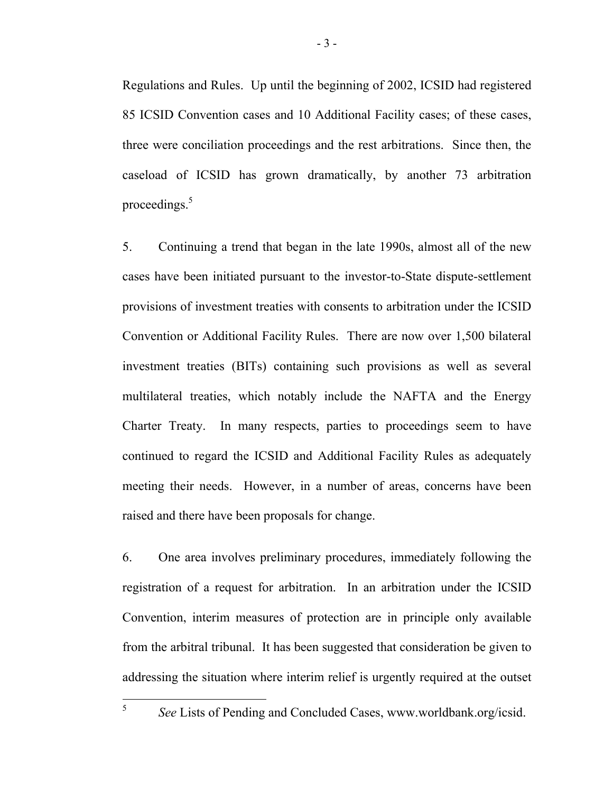Regulations and Rules. Up until the beginning of 2002, ICSID had registered 85 ICSID Convention cases and 10 Additional Facility cases; of these cases, three were conciliation proceedings and the rest arbitrations. Since then, the caseload of ICSID has grown dramatically, by another 73 arbitration proceedings[.](#page-4-0)<sup>5</sup>

5. Continuing a trend that began in the late 1990s, almost all of the new cases have been initiated pursuant to the investor-to-State dispute-settlement provisions of investment treaties with consents to arbitration under the ICSID Convention or Additional Facility Rules. There are now over 1,500 bilateral investment treaties (BITs) containing such provisions as well as several multilateral treaties, which notably include the NAFTA and the Energy Charter Treaty. In many respects, parties to proceedings seem to have continued to regard the ICSID and Additional Facility Rules as adequately meeting their needs. However, in a number of areas, concerns have been raised and there have been proposals for change.

6. One area involves preliminary procedures, immediately following the registration of a request for arbitration. In an arbitration under the ICSID Convention, interim measures of protection are in principle only available from the arbitral tribunal. It has been suggested that consideration be given to addressing the situation where interim relief is urgently required at the outset

<span id="page-4-0"></span>*See* Lists of Pending and Concluded Cases, www.worldbank.org/icsid.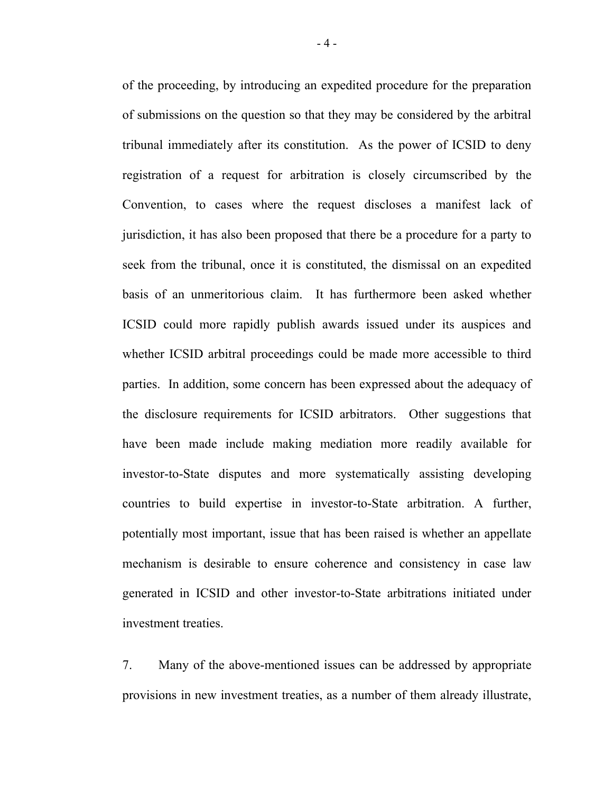of the proceeding, by introducing an expedited procedure for the preparation of submissions on the question so that they may be considered by the arbitral tribunal immediately after its constitution. As the power of ICSID to deny registration of a request for arbitration is closely circumscribed by the Convention, to cases where the request discloses a manifest lack of jurisdiction, it has also been proposed that there be a procedure for a party to seek from the tribunal, once it is constituted, the dismissal on an expedited basis of an unmeritorious claim. It has furthermore been asked whether ICSID could more rapidly publish awards issued under its auspices and whether ICSID arbitral proceedings could be made more accessible to third parties. In addition, some concern has been expressed about the adequacy of the disclosure requirements for ICSID arbitrators. Other suggestions that have been made include making mediation more readily available for investor-to-State disputes and more systematically assisting developing countries to build expertise in investor-to-State arbitration. A further, potentially most important, issue that has been raised is whether an appellate mechanism is desirable to ensure coherence and consistency in case law generated in ICSID and other investor-to-State arbitrations initiated under investment treaties.

7. Many of the above-mentioned issues can be addressed by appropriate provisions in new investment treaties, as a number of them already illustrate,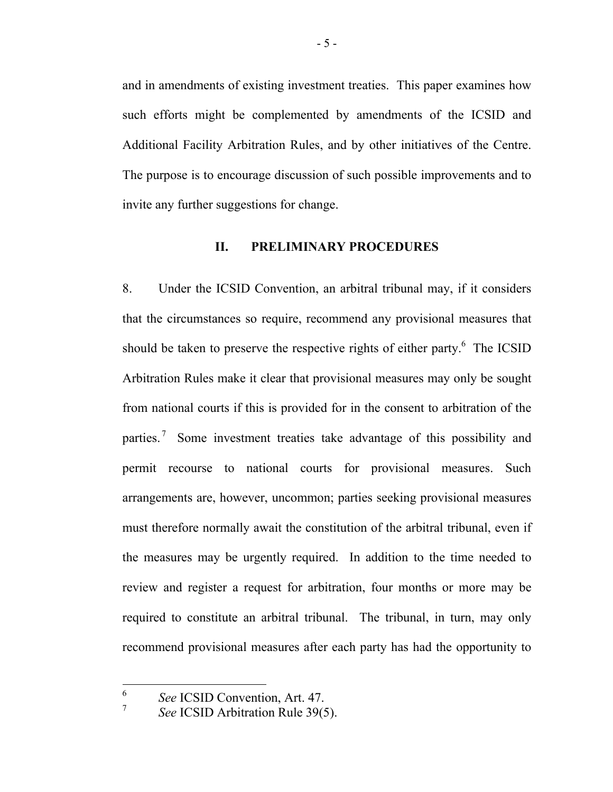and in amendments of existing investment treaties. This paper examines how such efforts might be complemented by amendments of the ICSID and Additional Facility Arbitration Rules, and by other initiatives of the Centre. The purpose is to encourage discussion of such possible improvements and to invite any further suggestions for change.

#### **II. PRELIMINARY PROCEDURES**

8. Under the ICSID Convention, an arbitral tribunal may, if it considers that the circumstances so require, recommend any provisional measures that should be taken to preserve the respective rights of either party.<sup>6</sup> The ICSID Arbitration Rules make it clear that provisional measures may only be sought from national courts if this is provided for in the consent to arbitration of the parties.<sup>[7](#page-6-1)</sup> Some investment treaties take advantage of this possibility and permit recourse to national courts for provisional measures. Such arrangements are, however, uncommon; parties seeking provisional measures must therefore normally await the constitution of the arbitral tribunal, even if the measures may be urgently required. In addition to the time needed to review and register a request for arbitration, four months or more may be required to constitute an arbitral tribunal. The tribunal, in turn, may only recommend provisional measures after each party has had the opportunity to

<span id="page-6-0"></span><sup>6</sup> *See* ICSID Convention, Art. 47. 7

<span id="page-6-1"></span>*See* ICSID Arbitration Rule 39(5).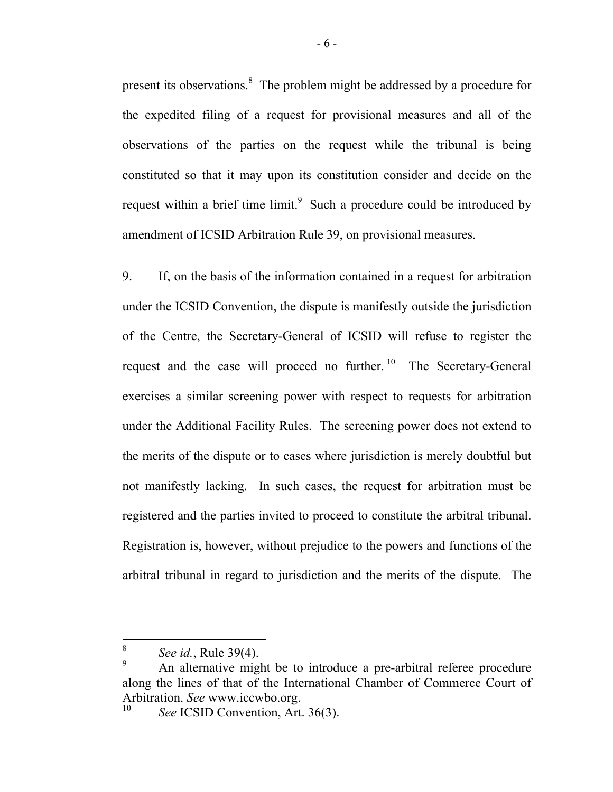present its observations.8 The problem might be addressed by a procedure for the expedited filing of a request for provisional measures and all of the observations of the parties on the request while the tribunal is being constituted so that it may upon its constitution consider and decide on the request within a brief time limit.<sup>9</sup> Such a procedure could be introduced by amendment of ICSID Arbitration Rule 39, on provisional measures.

9. If, on the basis of the information contained in a request for arbitration under the ICSID Convention, the dispute is manifestly outside the jurisdiction of the Centre, the Secretary-General of ICSID will refuse to register the request and the case will proceed no further.<sup>10</sup> The Secretary-General exercises a similar screening power with respect to requests for arbitration under the Additional Facility Rules. The screening power does not extend to the merits of the dispute or to cases where jurisdiction is merely doubtful but not manifestly lacking. In such cases, the request for arbitration must be registered and the parties invited to proceed to constitute the arbitral tribunal. Registration is, however, without prejudice to the powers and functions of the arbitral tribunal in regard to jurisdiction and the merits of the dispute. The

<span id="page-7-0"></span> $\int_{9}^{8}$  *See id.*, Rule 39(4).

<span id="page-7-1"></span>An alternative might be to introduce a pre-arbitral referee procedure along the lines of that of the International Chamber of Commerce Court of Arbitration. *See* www.iccwbo.org.<br><sup>10</sup> *See* ICSID Convention, Art. 36(3).

<span id="page-7-2"></span>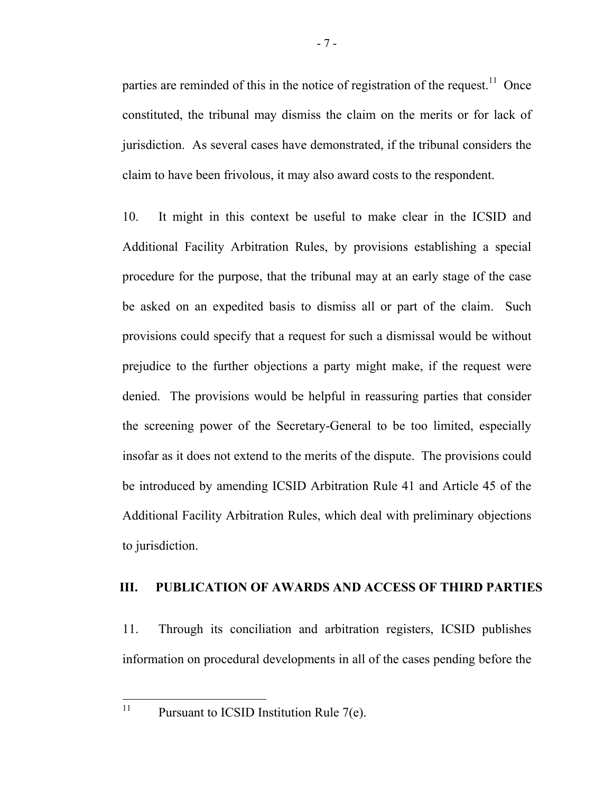partiesare reminded of this in the notice of registration of the request.<sup>11</sup> Once constituted, the tribunal may dismiss the claim on the merits or for lack of jurisdiction. As several cases have demonstrated, if the tribunal considers the claim to have been frivolous, it may also award costs to the respondent.

10. It might in this context be useful to make clear in the ICSID and Additional Facility Arbitration Rules, by provisions establishing a special procedure for the purpose, that the tribunal may at an early stage of the case be asked on an expedited basis to dismiss all or part of the claim. Such provisions could specify that a request for such a dismissal would be without prejudice to the further objections a party might make, if the request were denied. The provisions would be helpful in reassuring parties that consider the screening power of the Secretary-General to be too limited, especially insofar as it does not extend to the merits of the dispute. The provisions could be introduced by amending ICSID Arbitration Rule 41 and Article 45 of the Additional Facility Arbitration Rules, which deal with preliminary objections to jurisdiction.

#### **III. PUBLICATION OF AWARDS AND ACCESS OF THIRD PARTIES**

11. Through its conciliation and arbitration registers, ICSID publishes information on procedural developments in all of the cases pending before the

<span id="page-8-0"></span>11

Pursuant to ICSID Institution Rule  $7(e)$ .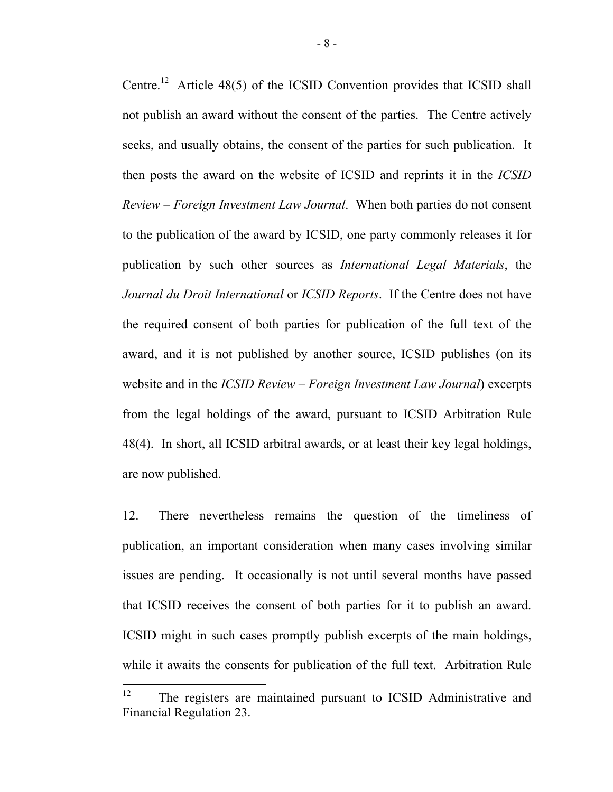Centre[.](#page-9-0)<sup>12</sup> Article 48(5) of the ICSID Convention provides that ICSID shall not publish an award without the consent of the parties. The Centre actively seeks, and usually obtains, the consent of the parties for such publication. It then posts the award on the website of ICSID and reprints it in the *ICSID Review – Foreign Investment Law Journal*. When both parties do not consent to the publication of the award by ICSID, one party commonly releases it for publication by such other sources as *International Legal Materials*, the *Journal du Droit International* or *ICSID Reports*. If the Centre does not have the required consent of both parties for publication of the full text of the award, and it is not published by another source, ICSID publishes (on its website and in the *ICSID Review – Foreign Investment Law Journal*) excerpts from the legal holdings of the award, pursuant to ICSID Arbitration Rule 48(4). In short, all ICSID arbitral awards, or at least their key legal holdings, are now published.

12. There nevertheless remains the question of the timeliness of publication, an important consideration when many cases involving similar issues are pending. It occasionally is not until several months have passed that ICSID receives the consent of both parties for it to publish an award. ICSID might in such cases promptly publish excerpts of the main holdings, while it awaits the consents for publication of the full text. Arbitration Rule

<span id="page-9-0"></span> $12<sup>°</sup>$ The registers are maintained pursuant to ICSID Administrative and Financial Regulation 23.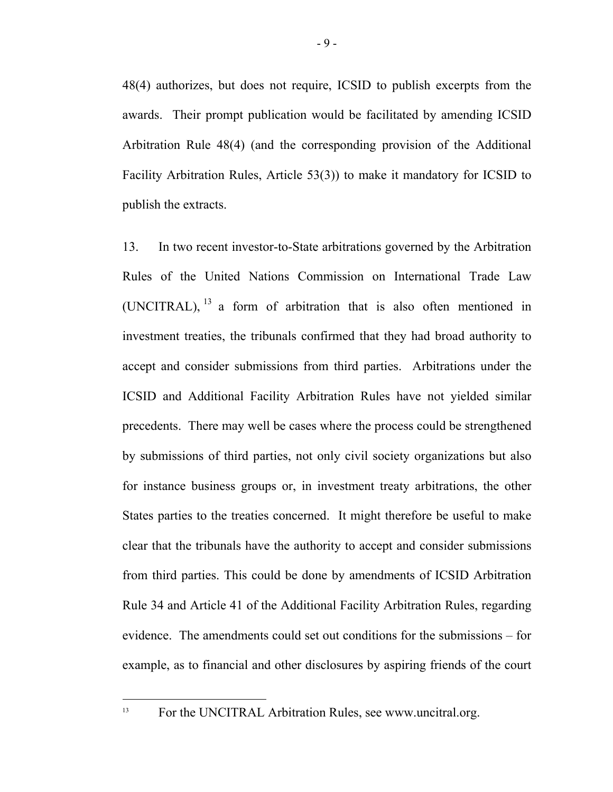48(4) authorizes, but does not require, ICSID to publish excerpts from the awards. Their prompt publication would be facilitated by amending ICSID Arbitration Rule 48(4) (and the corresponding provision of the Additional Facility Arbitration Rules, Article 53(3)) to make it mandatory for ICSID to publish the extracts.

13. In two recent investor-to-State arbitrations governed by the Arbitration Rules of the United Nations Commission on International Trade Law (UNCITRAL), [13](#page-10-0) a form of arbitration that is also often mentioned in investment treaties, the tribunals confirmed that they had broad authority to accept and consider submissions from third parties. Arbitrations under the ICSID and Additional Facility Arbitration Rules have not yielded similar precedents. There may well be cases where the process could be strengthened by submissions of third parties, not only civil society organizations but also for instance business groups or, in investment treaty arbitrations, the other States parties to the treaties concerned. It might therefore be useful to make clear that the tribunals have the authority to accept and consider submissions from third parties. This could be done by amendments of ICSID Arbitration Rule 34 and Article 41 of the Additional Facility Arbitration Rules, regarding evidence. The amendments could set out conditions for the submissions – for example, as to financial and other disclosures by aspiring friends of the court

<span id="page-10-0"></span><sup>&</sup>lt;sup>13</sup> For the UNCITRAL Arbitration Rules, see www.uncitral.org.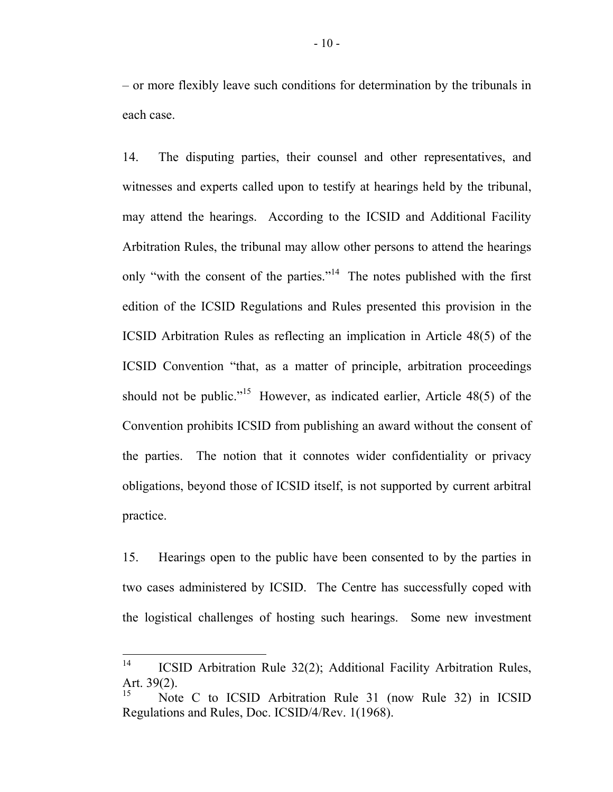– or more flexibly leave such conditions for determination by the tribunals in each case.

14. The disputing parties, their counsel and other representatives, and witnesses and experts called upon to testify at hearings held by the tribunal, may attend the hearings. According to the ICSID and Additional Facility Arbitration Rules, the tribunal may allow other persons to attend the hearings only "with the consent of the parties."<sup>[14](#page-11-0)</sup> The notes published with the first edition of the ICSID Regulations and Rules presented this provision in the ICSID Arbitration Rules as reflecting an implication in Article 48(5) of the ICSID Convention "that, as a matter of principle, arbitration proceedings should not be public."<sup>15</sup> However, as indicated earlier, Article 48(5) of the Convention prohibits ICSID from publishing an award without the consent of the parties. The notion that it connotes wider confidentiality or privacy obligations, beyond those of ICSID itself, is not supported by current arbitral practice.

15. Hearings open to the public have been consented to by the parties in two cases administered by ICSID. The Centre has successfully coped with the logistical challenges of hosting such hearings. Some new investment

<span id="page-11-0"></span> $14$ 14 ICSID Arbitration Rule 32(2); Additional Facility Arbitration Rules, Art. 39(2).

<span id="page-11-1"></span>Note C to ICSID Arbitration Rule 31 (now Rule 32) in ICSID Regulations and Rules, Doc. ICSID/4/Rev. 1(1968).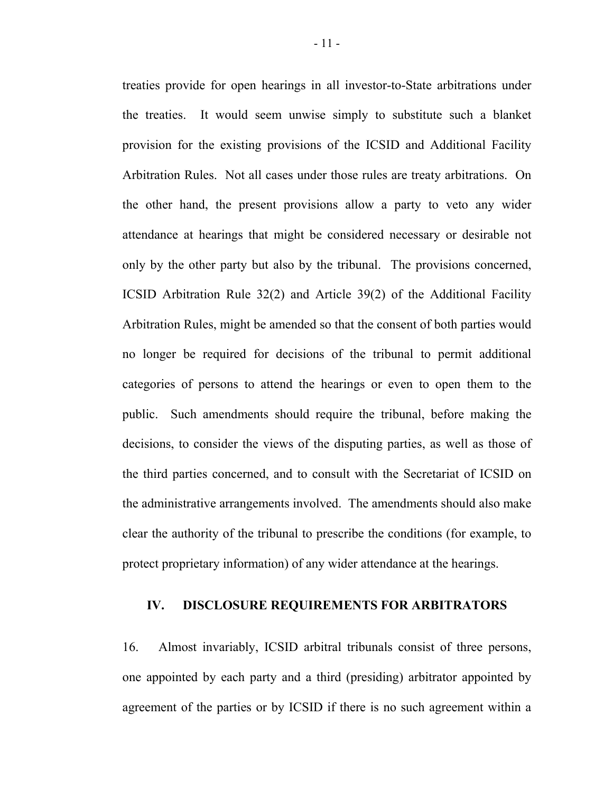treaties provide for open hearings in all investor-to-State arbitrations under the treaties. It would seem unwise simply to substitute such a blanket provision for the existing provisions of the ICSID and Additional Facility Arbitration Rules. Not all cases under those rules are treaty arbitrations. On the other hand, the present provisions allow a party to veto any wider attendance at hearings that might be considered necessary or desirable not only by the other party but also by the tribunal. The provisions concerned, ICSID Arbitration Rule 32(2) and Article 39(2) of the Additional Facility Arbitration Rules, might be amended so that the consent of both parties would no longer be required for decisions of the tribunal to permit additional categories of persons to attend the hearings or even to open them to the public. Such amendments should require the tribunal, before making the decisions, to consider the views of the disputing parties, as well as those of the third parties concerned, and to consult with the Secretariat of ICSID on the administrative arrangements involved. The amendments should also make clear the authority of the tribunal to prescribe the conditions (for example, to protect proprietary information) of any wider attendance at the hearings.

#### **IV. DISCLOSURE REQUIREMENTS FOR ARBITRATORS**

16. Almost invariably, ICSID arbitral tribunals consist of three persons, one appointed by each party and a third (presiding) arbitrator appointed by agreement of the parties or by ICSID if there is no such agreement within a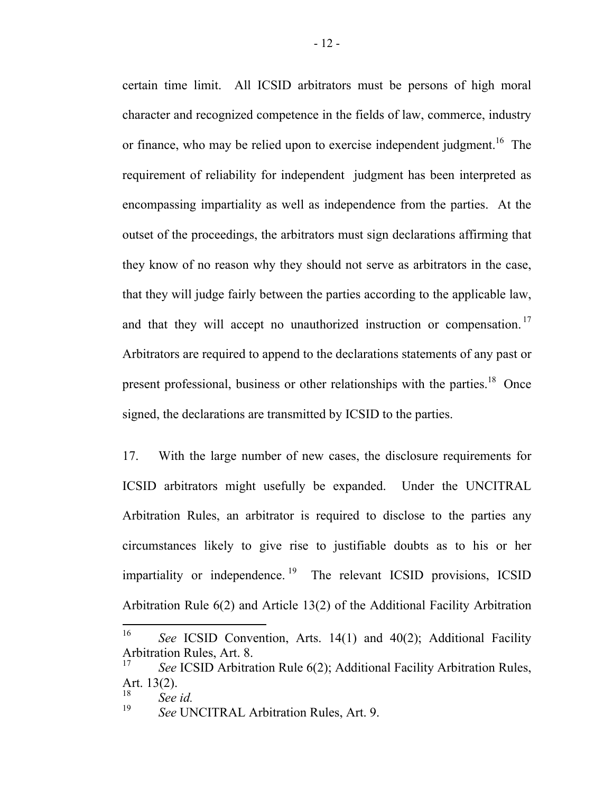certain time limit. All ICSID arbitrators must be persons of high moral character and recognized competence in the fields of law, commerce, industry or finance, who may be relied upon to exercise independent judgment[.](#page-13-0)<sup>16</sup>The requirement of reliability for independent judgment has been interpreted as encompassing impartiality as well as independence from the parties. At the outset of the proceedings, the arbitrators must sign declarations affirming that they know of no reason why they should not serve as arbitrators in the case, that they will judge fairly between the parties according to the applicable law, andthat they will accept no unauthorized instruction or compensation.<sup>17</sup> Arbitrators are required to append to the declarations statements of any past or present professional, business or other relationships with the parties[.](#page-13-2)<sup>18</sup>Once signed, the declarations are transmitted by ICSID to the parties.

17. With the large number of new cases, the disclosure requirements for ICSID arbitrators might usefully be expanded. Under the UNCITRAL Arbitration Rules, an arbitrator is required to disclose to the parties any circumstances likely to give rise to justifiable doubts as to his or her impartiality or independence.<sup>19</sup> The relevant ICSID provisions, ICSID Arbitration Rule 6(2) and Article 13(2) of the Additional Facility Arbitration

<span id="page-13-0"></span><sup>16</sup> See ICSID Convention, Arts. 14(1) and 40(2); Additional Facility Arbitration Rules, Art. 8.

<span id="page-13-1"></span>See ICSID Arbitration Rule 6(2); Additional Facility Arbitration Rules, Art. 13(2).

<span id="page-13-2"></span> $\int_{19}^{18}$  *See id.* 

<span id="page-13-3"></span><sup>19</sup> *See* UNCITRAL Arbitration Rules, Art. 9.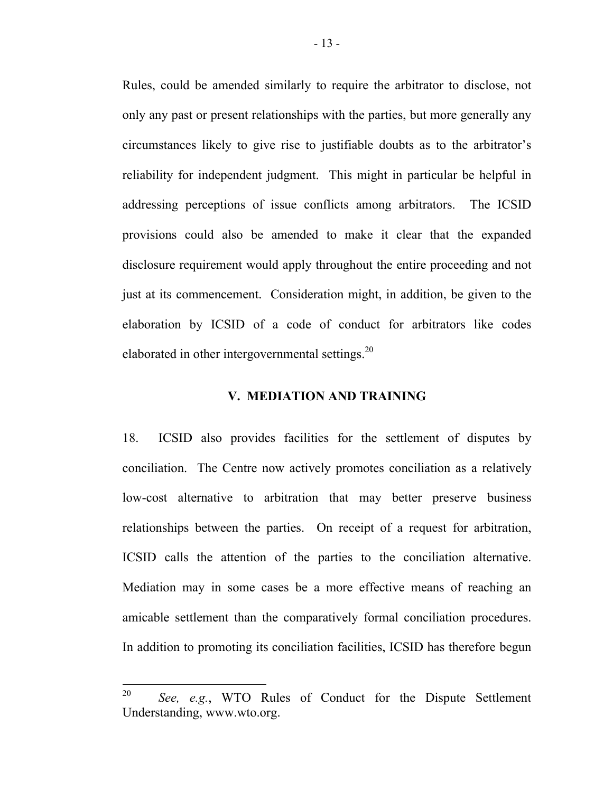Rules, could be amended similarly to require the arbitrator to disclose, not only any past or present relationships with the parties, but more generally any circumstances likely to give rise to justifiable doubts as to the arbitrator's reliability for independent judgment. This might in particular be helpful in addressing perceptions of issue conflicts among arbitrators. The ICSID provisions could also be amended to make it clear that the expanded disclosure requirement would apply throughout the entire proceeding and not just at its commencement. Consideration might, in addition, be given to the elaboration by ICSID of a code of conduct for arbitrators like codes elaborated in other intergovernmental settings[.](#page-14-0) $^{20}$ 

### **V. MEDIATION AND TRAINING**

18. ICSID also provides facilities for the settlement of disputes by conciliation. The Centre now actively promotes conciliation as a relatively low-cost alternative to arbitration that may better preserve business relationships between the parties. On receipt of a request for arbitration, ICSID calls the attention of the parties to the conciliation alternative. Mediation may in some cases be a more effective means of reaching an amicable settlement than the comparatively formal conciliation procedures. In addition to promoting its conciliation facilities, ICSID has therefore begun

<span id="page-14-0"></span><sup>20</sup> See, e.g., WTO Rules of Conduct for the Dispute Settlement Understanding, www.wto.org.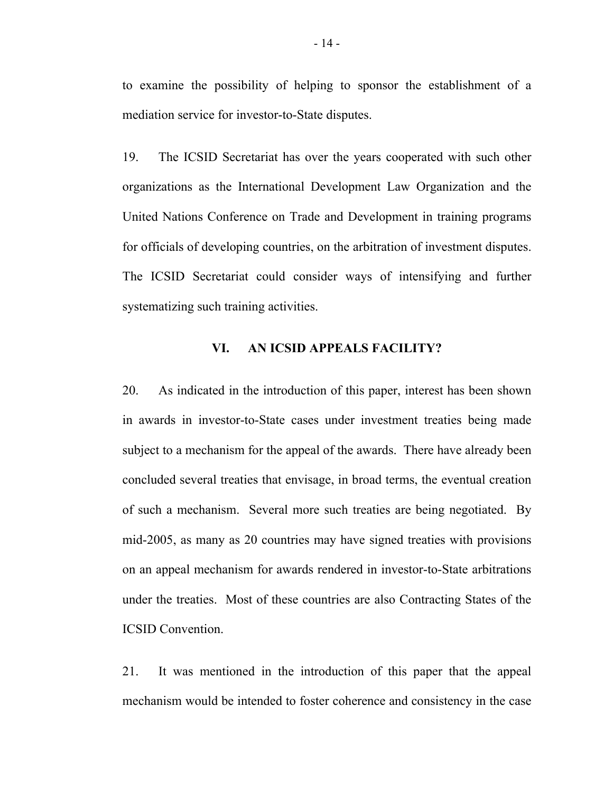to examine the possibility of helping to sponsor the establishment of a mediation service for investor-to-State disputes.

19. The ICSID Secretariat has over the years cooperated with such other organizations as the International Development Law Organization and the United Nations Conference on Trade and Development in training programs for officials of developing countries, on the arbitration of investment disputes. The ICSID Secretariat could consider ways of intensifying and further systematizing such training activities.

### **VI. AN ICSID APPEALS FACILITY?**

20. As indicated in the introduction of this paper, interest has been shown in awards in investor-to-State cases under investment treaties being made subject to a mechanism for the appeal of the awards. There have already been concluded several treaties that envisage, in broad terms, the eventual creation of such a mechanism. Several more such treaties are being negotiated. By mid-2005, as many as 20 countries may have signed treaties with provisions on an appeal mechanism for awards rendered in investor-to-State arbitrations under the treaties. Most of these countries are also Contracting States of the ICSID Convention.

21. It was mentioned in the introduction of this paper that the appeal mechanism would be intended to foster coherence and consistency in the case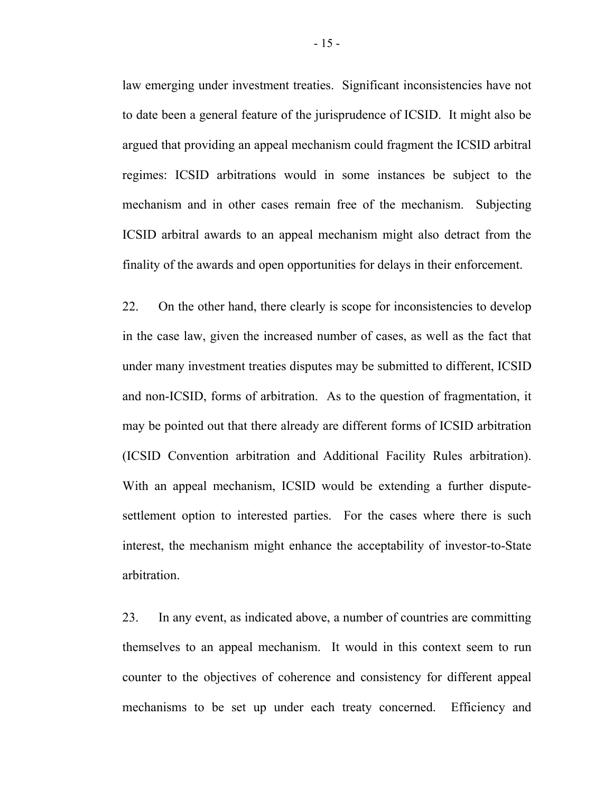law emerging under investment treaties. Significant inconsistencies have not to date been a general feature of the jurisprudence of ICSID. It might also be argued that providing an appeal mechanism could fragment the ICSID arbitral regimes: ICSID arbitrations would in some instances be subject to the mechanism and in other cases remain free of the mechanism. Subjecting ICSID arbitral awards to an appeal mechanism might also detract from the finality of the awards and open opportunities for delays in their enforcement.

22. On the other hand, there clearly is scope for inconsistencies to develop in the case law, given the increased number of cases, as well as the fact that under many investment treaties disputes may be submitted to different, ICSID and non-ICSID, forms of arbitration. As to the question of fragmentation, it may be pointed out that there already are different forms of ICSID arbitration (ICSID Convention arbitration and Additional Facility Rules arbitration). With an appeal mechanism, ICSID would be extending a further disputesettlement option to interested parties. For the cases where there is such interest, the mechanism might enhance the acceptability of investor-to-State arbitration.

23. In any event, as indicated above, a number of countries are committing themselves to an appeal mechanism. It would in this context seem to run counter to the objectives of coherence and consistency for different appeal mechanisms to be set up under each treaty concerned. Efficiency and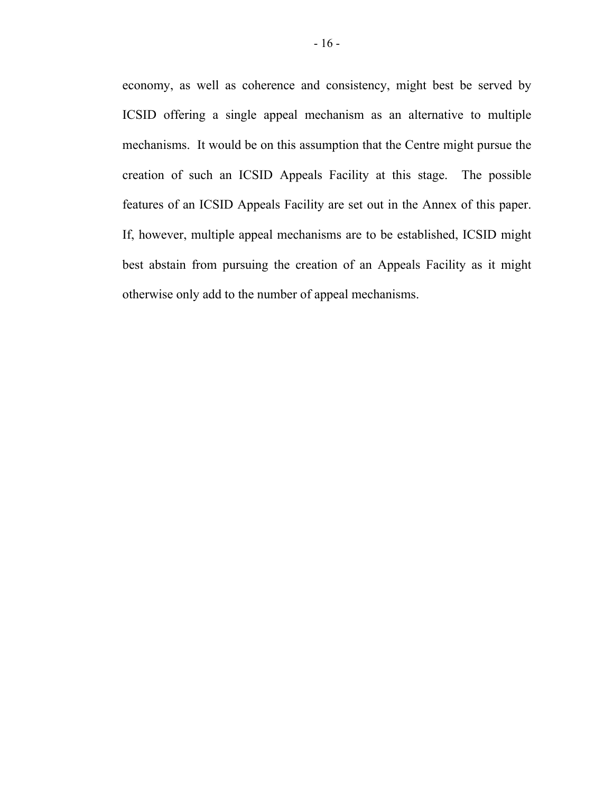economy, as well as coherence and consistency, might best be served by ICSID offering a single appeal mechanism as an alternative to multiple mechanisms. It would be on this assumption that the Centre might pursue the creation of such an ICSID Appeals Facility at this stage. The possible features of an ICSID Appeals Facility are set out in the Annex of this paper. If, however, multiple appeal mechanisms are to be established, ICSID might best abstain from pursuing the creation of an Appeals Facility as it might otherwise only add to the number of appeal mechanisms.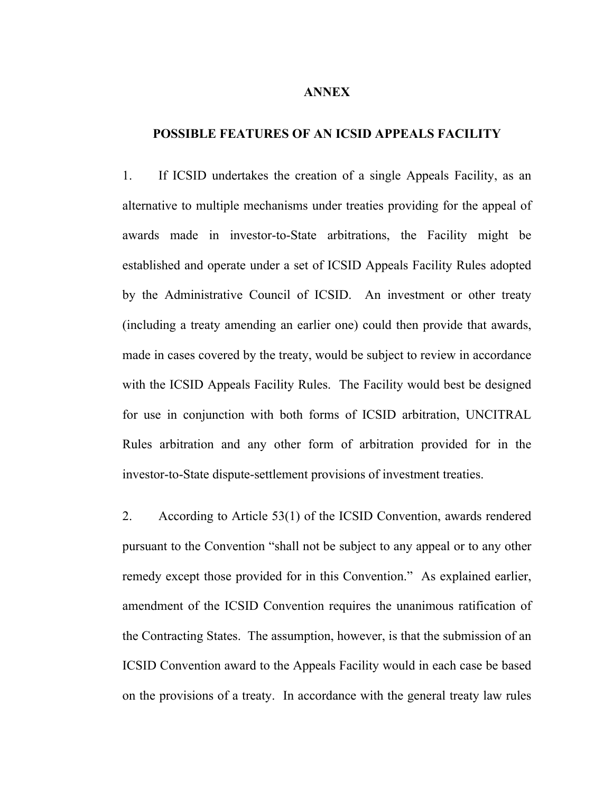#### **ANNEX**

### **POSSIBLE FEATURES OF AN ICSID APPEALS FACILITY**

1. If ICSID undertakes the creation of a single Appeals Facility, as an alternative to multiple mechanisms under treaties providing for the appeal of awards made in investor-to-State arbitrations, the Facility might be established and operate under a set of ICSID Appeals Facility Rules adopted by the Administrative Council of ICSID. An investment or other treaty (including a treaty amending an earlier one) could then provide that awards, made in cases covered by the treaty, would be subject to review in accordance with the ICSID Appeals Facility Rules. The Facility would best be designed for use in conjunction with both forms of ICSID arbitration, UNCITRAL Rules arbitration and any other form of arbitration provided for in the investor-to-State dispute-settlement provisions of investment treaties.

2. According to Article 53(1) of the ICSID Convention, awards rendered pursuant to the Convention "shall not be subject to any appeal or to any other remedy except those provided for in this Convention." As explained earlier, amendment of the ICSID Convention requires the unanimous ratification of the Contracting States. The assumption, however, is that the submission of an ICSID Convention award to the Appeals Facility would in each case be based on the provisions of a treaty. In accordance with the general treaty law rules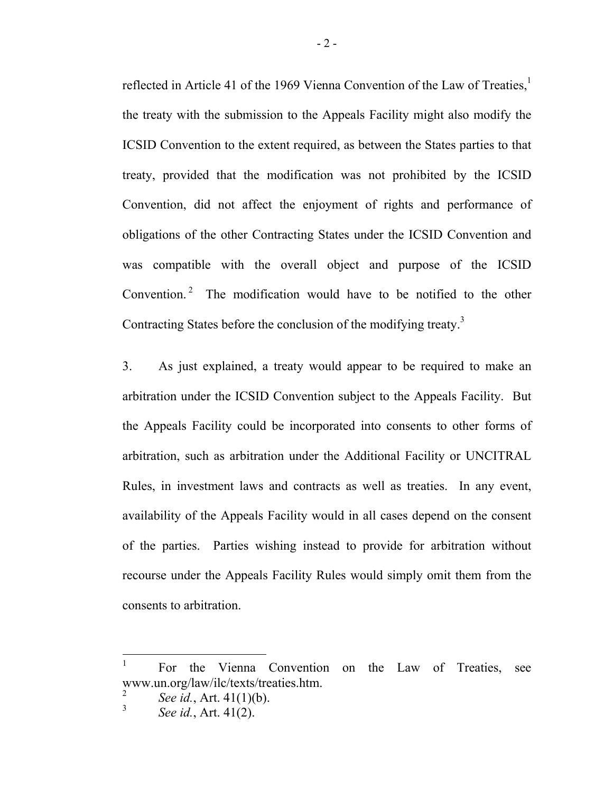reflected in Article 41 of the 1969 Vienna Convention of the Law of Treaties[,](#page-19-0) $<sup>1</sup>$ </sup> the treaty with the submission to the Appeals Facility might also modify the ICSID Convention to the extent required, as between the States parties to that treaty, provided that the modification was not prohibited by the ICSID Convention, did not affect the enjoyment of rights and performance of obligations of the other Contracting States under the ICSID Convention and was compatible with the overall object and purpose of the ICSID Convention.<sup>2</sup> The modification would have to be notified to the other Contracting States before the conclusion of the modifying treaty.<sup>3</sup>

3. As just explained, a treaty would appear to be required to make an arbitration under the ICSID Convention subject to the Appeals Facility. But the Appeals Facility could be incorporated into consents to other forms of arbitration, such as arbitration under the Additional Facility or UNCITRAL Rules, in investment laws and contracts as well as treaties. In any event, availability of the Appeals Facility would in all cases depend on the consent of the parties. Parties wishing instead to provide for arbitration without recourse under the Appeals Facility Rules would simply omit them from the consents to arbitration.

<span id="page-19-0"></span><sup>1</sup> For the Vienna Convention on the Law of Treaties, see www.un.org/law/ilc/texts/treaties.htm.

<span id="page-19-1"></span> $\mathfrak{D}$ *See id.*, Art. 41(1)(b).

<sup>3</sup> *See id.*, Art. 41(2).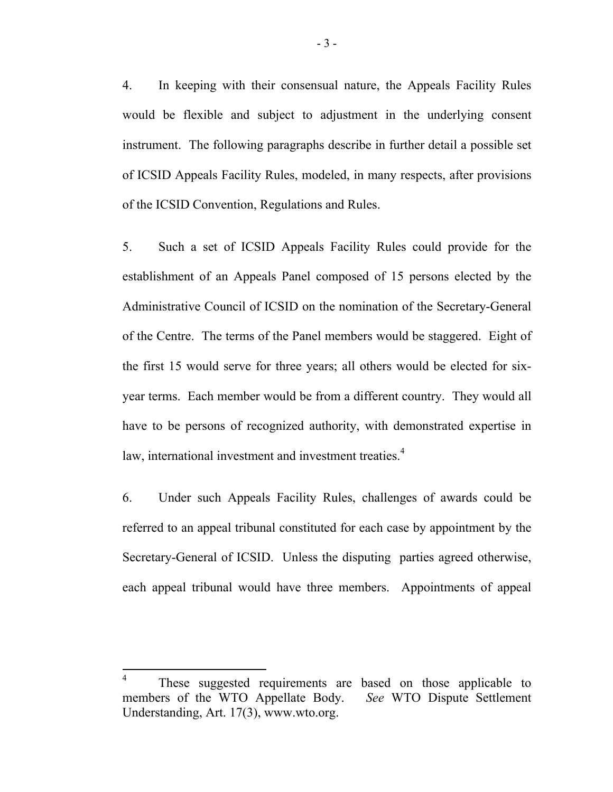4. In keeping with their consensual nature, the Appeals Facility Rules would be flexible and subject to adjustment in the underlying consent instrument. The following paragraphs describe in further detail a possible set of ICSID Appeals Facility Rules, modeled, in many respects, after provisions of the ICSID Convention, Regulations and Rules.

5. Such a set of ICSID Appeals Facility Rules could provide for the establishment of an Appeals Panel composed of 15 persons elected by the Administrative Council of ICSID on the nomination of the Secretary-General of the Centre. The terms of the Panel members would be staggered. Eight of the first 15 would serve for three years; all others would be elected for sixyear terms. Each member would be from a different country. They would all have to be persons of recognized authority, with demonstrated expertise in law, international investment and investment treaties.<sup>4</sup>

6. Under such Appeals Facility Rules, challenges of awards could be referred to an appeal tribunal constituted for each case by appointment by the Secretary-General of ICSID. Unless the disputing parties agreed otherwise, each appeal tribunal would have three members. Appointments of appeal

<span id="page-20-0"></span><sup>&</sup>lt;sup>4</sup> These suggested requirements are based on those applicable to members of the WTO Appellate Body. *See* WTO Dispute Settlement Understanding, Art. 17(3), www.wto.org.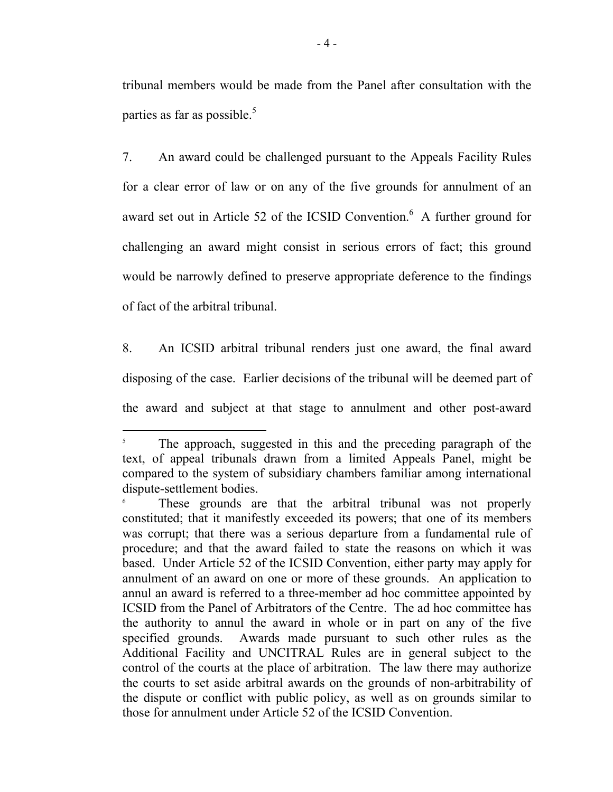tribunal members would be made from the Panel after consultation with the parties as far as possible. $5$ 

7. An award could be challenged pursuant to the Appeals Facility Rules for a clear error of law or on any of the five grounds for annulment of an award set out in Article 52 of the ICSID Convention.<sup>[6](#page-21-0)</sup> A further ground for challenging an award might consist in serious errors of fact; this ground would be narrowly defined to preserve appropriate deference to the findings of fact of the arbitral tribunal.

8. An ICSID arbitral tribunal renders just one award, the final award disposing of the case. Earlier decisions of the tribunal will be deemed part of the award and subject at that stage to annulment and other post-award

<sup>5</sup> The approach, suggested in this and the preceding paragraph of the text, of appeal tribunals drawn from a limited Appeals Panel, might be compared to the system of subsidiary chambers familiar among international dispute-settlement bodies. 6 These grounds are that the arbitral tribunal was not properly

<span id="page-21-0"></span>constituted; that it manifestly exceeded its powers; that one of its members was corrupt; that there was a serious departure from a fundamental rule of procedure; and that the award failed to state the reasons on which it was based. Under Article 52 of the ICSID Convention, either party may apply for annulment of an award on one or more of these grounds. An application to annul an award is referred to a three-member ad hoc committee appointed by ICSID from the Panel of Arbitrators of the Centre. The ad hoc committee has the authority to annul the award in whole or in part on any of the five specified grounds. Awards made pursuant to such other rules as the Additional Facility and UNCITRAL Rules are in general subject to the control of the courts at the place of arbitration. The law there may authorize the courts to set aside arbitral awards on the grounds of non-arbitrability of the dispute or conflict with public policy, as well as on grounds similar to those for annulment under Article 52 of the ICSID Convention.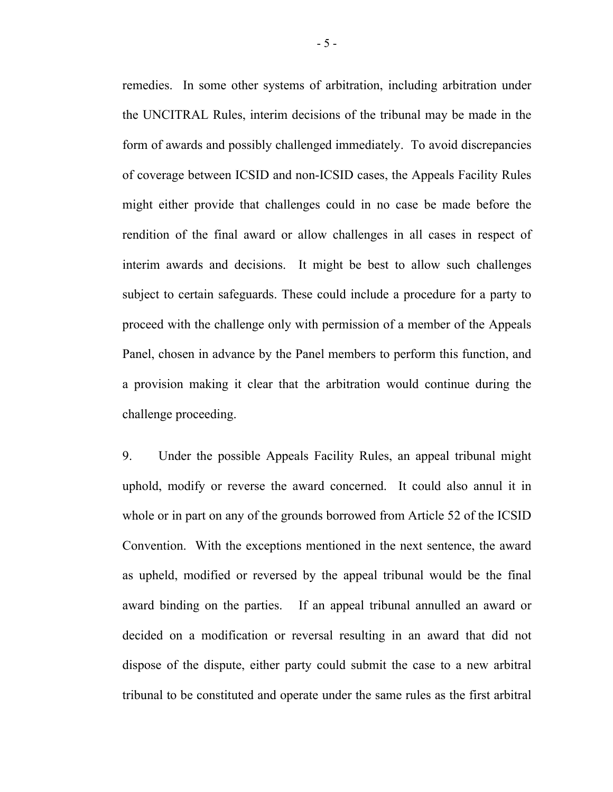remedies. In some other systems of arbitration, including arbitration under the UNCITRAL Rules, interim decisions of the tribunal may be made in the form of awards and possibly challenged immediately. To avoid discrepancies of coverage between ICSID and non-ICSID cases, the Appeals Facility Rules might either provide that challenges could in no case be made before the rendition of the final award or allow challenges in all cases in respect of interim awards and decisions. It might be best to allow such challenges subject to certain safeguards. These could include a procedure for a party to proceed with the challenge only with permission of a member of the Appeals Panel, chosen in advance by the Panel members to perform this function, and a provision making it clear that the arbitration would continue during the challenge proceeding.

9. Under the possible Appeals Facility Rules, an appeal tribunal might uphold, modify or reverse the award concerned. It could also annul it in whole or in part on any of the grounds borrowed from Article 52 of the ICSID Convention. With the exceptions mentioned in the next sentence, the award as upheld, modified or reversed by the appeal tribunal would be the final award binding on the parties. If an appeal tribunal annulled an award or decided on a modification or reversal resulting in an award that did not dispose of the dispute, either party could submit the case to a new arbitral tribunal to be constituted and operate under the same rules as the first arbitral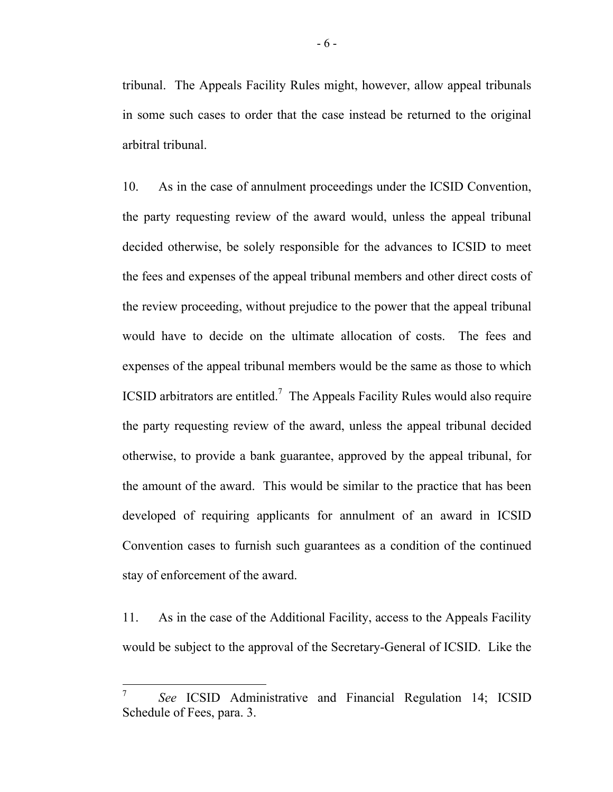tribunal. The Appeals Facility Rules might, however, allow appeal tribunals in some such cases to order that the case instead be returned to the original arbitral tribunal.

10. As in the case of annulment proceedings under the ICSID Convention, the party requesting review of the award would, unless the appeal tribunal decided otherwise, be solely responsible for the advances to ICSID to meet the fees and expenses of the appeal tribunal members and other direct costs of the review proceeding, without prejudice to the power that the appeal tribunal would have to decide on the ultimate allocation of costs. The fees and expenses of the appeal tribunal members would be the same as those to which ICSID arbitrators are entitled.<sup>7</sup> The Appeals Facility Rules would also require the party requesting review of the award, unless the appeal tribunal decided otherwise, to provide a bank guarantee, approved by the appeal tribunal, for the amount of the award. This would be similar to the practice that has been developed of requiring applicants for annulment of an award in ICSID Convention cases to furnish such guarantees as a condition of the continued stay of enforcement of the award.

11. As in the case of the Additional Facility, access to the Appeals Facility would be subject to the approval of the Secretary-General of ICSID. Like the

<span id="page-23-0"></span><sup>7</sup> *See* ICSID Administrative and Financial Regulation 14; ICSID Schedule of Fees, para. 3.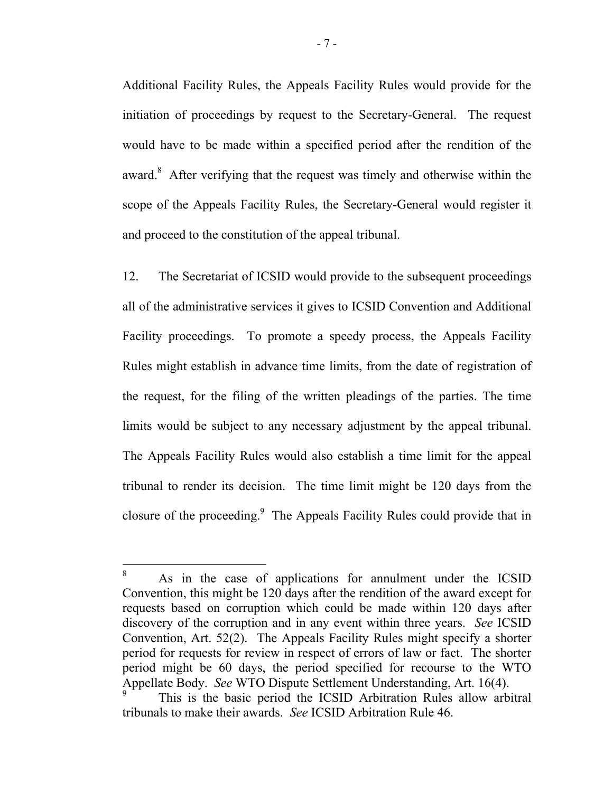Additional Facility Rules, the Appeals Facility Rules would provide for the initiation of proceedings by request to the Secretary-General. The request would have to be made within a specified period after the rendition of the award[.](#page-24-0)<sup>8</sup> After verifying that the request was timely and otherwise within the scope of the Appeals Facility Rules, the Secretary-General would register it and proceed to the constitution of the appeal tribunal.

12. The Secretariat of ICSID would provide to the subsequent proceedings all of the administrative services it gives to ICSID Convention and Additional Facility proceedings. To promote a speedy process, the Appeals Facility Rules might establish in advance time limits, from the date of registration of the request, for the filing of the written pleadings of the parties. The time limits would be subject to any necessary adjustment by the appeal tribunal. The Appeals Facility Rules would also establish a time limit for the appeal tribunal to render its decision. The time limit might be 120 days from the closure of the proceeding[.9](#page-24-1) The Appeals Facility Rules could provide that in

<span id="page-24-0"></span><sup>8</sup> As in the case of applications for annulment under the ICSID Convention, this might be 120 days after the rendition of the award except for requests based on corruption which could be made within 120 days after discovery of the corruption and in any event within three years. *See* ICSID Convention, Art. 52(2). The Appeals Facility Rules might specify a shorter period for requests for review in respect of errors of law or fact. The shorter period might be 60 days, the period specified for recourse to the WTO Appellate Body. *See* WTO Dispute Settlement Understanding, Art. 16(4).

<span id="page-24-1"></span>This is the basic period the ICSID Arbitration Rules allow arbitral tribunals to make their awards. *See* ICSID Arbitration Rule 46.